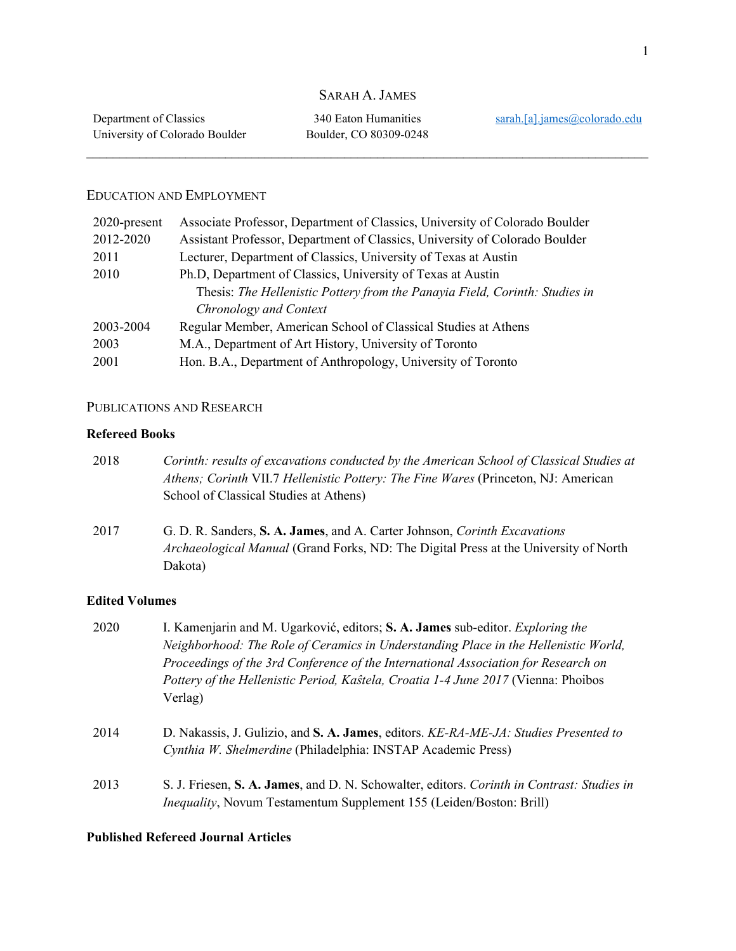# SARAH A. JAMES

 $\_$  , and the set of the set of the set of the set of the set of the set of the set of the set of the set of the set of the set of the set of the set of the set of the set of the set of the set of the set of the set of th

### EDUCATION AND EMPLOYMENT

| 2020-present | Associate Professor, Department of Classics, University of Colorado Boulder |
|--------------|-----------------------------------------------------------------------------|
| 2012-2020    | Assistant Professor, Department of Classics, University of Colorado Boulder |
| 2011         | Lecturer, Department of Classics, University of Texas at Austin             |
| 2010         | Ph.D, Department of Classics, University of Texas at Austin                 |
|              | Thesis: The Hellenistic Pottery from the Panayia Field, Corinth: Studies in |
|              | Chronology and Context                                                      |
| 2003-2004    | Regular Member, American School of Classical Studies at Athens              |
| 2003         | M.A., Department of Art History, University of Toronto                      |
| 2001         | Hon. B.A., Department of Anthropology, University of Toronto                |

### PUBLICATIONS AND RESEARCH

### **Refereed Books**

| 2018 | Corinth: results of excavations conducted by the American School of Classical Studies at<br>Athens; Corinth VII.7 Hellenistic Pottery: The Fine Wares (Princeton, NJ: American<br>School of Classical Studies at Athens) |
|------|--------------------------------------------------------------------------------------------------------------------------------------------------------------------------------------------------------------------------|
| 2017 | G. D. R. Sanders, S. A. James, and A. Carter Johnson, Corinth Excavations<br>Archaeological Manual (Grand Forks, ND: The Digital Press at the University of North<br>Dakota)                                             |

### **Edited Volumes**

| 2020 | I. Kamenjarin and M. Ugarković, editors; S. A. James sub-editor. Exploring the<br>Neighborhood: The Role of Ceramics in Understanding Place in the Hellenistic World,<br>Proceedings of the 3rd Conference of the International Association for Research on<br>Pottery of the Hellenistic Period, Kaŝtela, Croatia 1-4 June 2017 (Vienna: Phoibos<br>Verlag) |
|------|--------------------------------------------------------------------------------------------------------------------------------------------------------------------------------------------------------------------------------------------------------------------------------------------------------------------------------------------------------------|
| 2014 | D. Nakassis, J. Gulizio, and S. A. James, editors. KE-RA-ME-JA: Studies Presented to<br>Cynthia W. Shelmerdine (Philadelphia: INSTAP Academic Press)                                                                                                                                                                                                         |
| 2013 | S. J. Friesen, S. A. James, and D. N. Schowalter, editors. Corinth in Contrast: Studies in<br><i>Inequality</i> , Novum Testamentum Supplement 155 (Leiden/Boston: Brill)                                                                                                                                                                                    |

## **Published Refereed Journal Articles**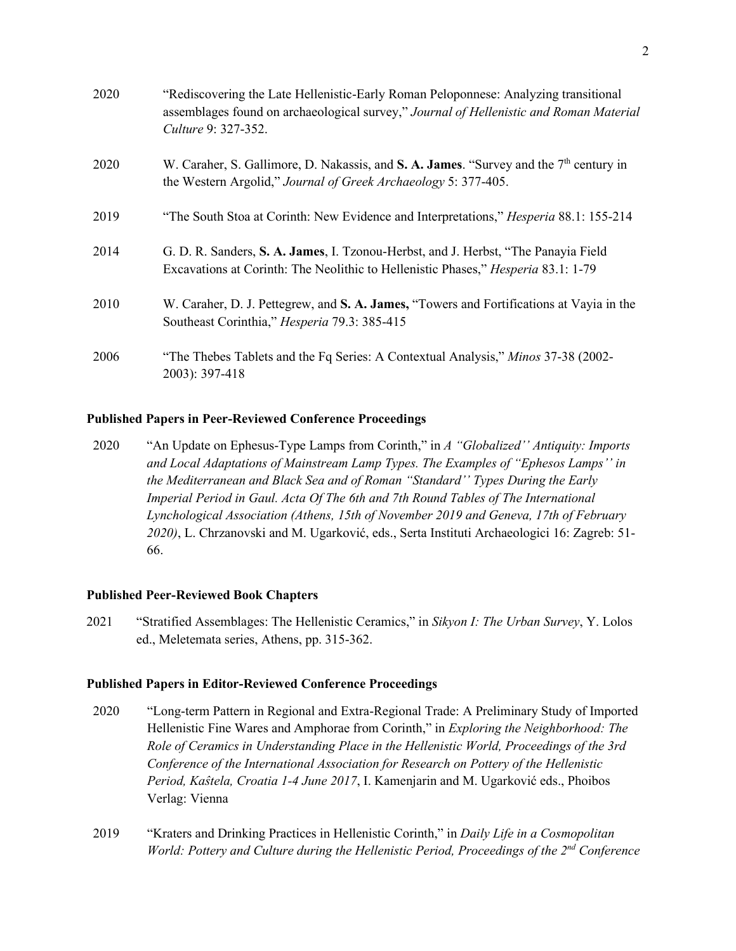| 2020 | "Rediscovering the Late Hellenistic-Early Roman Peloponnese: Analyzing transitional<br>assemblages found on archaeological survey," Journal of Hellenistic and Roman Material<br>Culture 9: 327-352. |
|------|------------------------------------------------------------------------------------------------------------------------------------------------------------------------------------------------------|
| 2020 | W. Caraher, S. Gallimore, D. Nakassis, and S. A. James. "Survey and the $7th$ century in<br>the Western Argolid," Journal of Greek Archaeology 5: 377-405.                                           |
| 2019 | "The South Stoa at Corinth: New Evidence and Interpretations," <i>Hesperia</i> 88.1: 155-214                                                                                                         |
| 2014 | G. D. R. Sanders, S. A. James, I. Tzonou-Herbst, and J. Herbst, "The Panayia Field"<br>Excavations at Corinth: The Neolithic to Hellenistic Phases," Hesperia 83.1: 1-79                             |
| 2010 | W. Caraher, D. J. Pettegrew, and S. A. James, "Towers and Fortifications at Vayia in the<br>Southeast Corinthia," Hesperia 79.3: 385-415                                                             |
| 2006 | "The Thebes Tablets and the Fq Series: A Contextual Analysis," Minos 37-38 (2002-<br>2003): 397-418                                                                                                  |

### **Published Papers in Peer-Reviewed Conference Proceedings**

2020 "An Update on Ephesus-Type Lamps from Corinth," in *A "Globalized'' Antiquity: Imports and Local Adaptations of Mainstream Lamp Types. The Examples of "Ephesos Lamps'' in the Mediterranean and Black Sea and of Roman "Standard'' Types During the Early Imperial Period in Gaul. Acta Of The 6th and 7th Round Tables of The International Lynchological Association (Athens, 15th of November 2019 and Geneva, 17th of February 2020)*, L. Chrzanovski and M. Ugarković, eds., Serta Instituti Archaeologici 16: Zagreb: 51- 66.

### **Published Peer-Reviewed Book Chapters**

2021 "Stratified Assemblages: The Hellenistic Ceramics," in *Sikyon I: The Urban Survey*, Y. Lolos ed., Meletemata series, Athens, pp. 315-362.

### **Published Papers in Editor-Reviewed Conference Proceedings**

- 2020 "Long-term Pattern in Regional and Extra-Regional Trade: A Preliminary Study of Imported Hellenistic Fine Wares and Amphorae from Corinth," in *Exploring the Neighborhood: The Role of Ceramics in Understanding Place in the Hellenistic World, Proceedings of the 3rd Conference of the International Association for Research on Pottery of the Hellenistic Period, Kaŝtela, Croatia 1-4 June 2017*, I. Kamenjarin and M. Ugarković eds., Phoibos Verlag: Vienna
- 2019 "Kraters and Drinking Practices in Hellenistic Corinth," in *Daily Life in a Cosmopolitan World: Pottery and Culture during the Hellenistic Period, Proceedings of the 2nd Conference*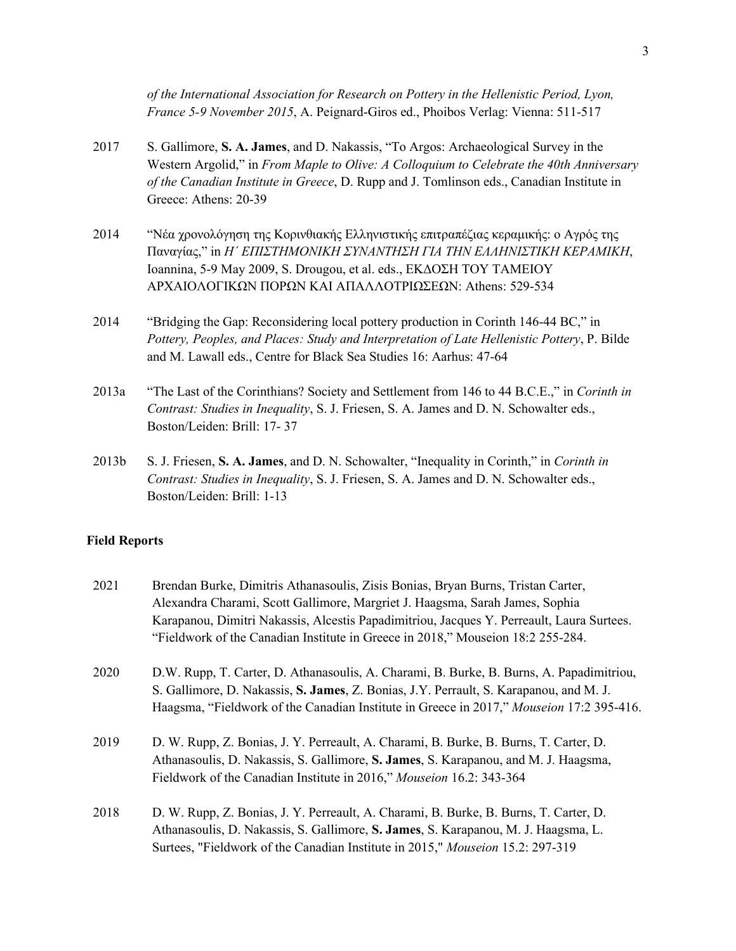*of the International Association for Research on Pottery in the Hellenistic Period, Lyon, France 5-9 November 2015*, A. Peignard-Giros ed., Phoibos Verlag: Vienna: 511-517

- 2017 S. Gallimore, **S. A. James**, and D. Nakassis, "To Argos: Archaeological Survey in the Western Argolid," in *From Maple to Olive: A Colloquium to Celebrate the 40th Anniversary of the Canadian Institute in Greece*, D. Rupp and J. Tomlinson eds., Canadian Institute in Greece: Athens: 20-39
- 2014 "Νέα χρονολόγηση της Κορινθιακής Ελληνιστικής επιτραπέζιας κεραμικής: ο Αγρός της Παναγίας," in *Ηˊ ΕΠΙΣΤΗΜΟΝΙΚΗ ΣΥΝΑΝΤΗΣΗ ΓΙΑ ΤΗΝ ΕΛΛΗΝΙΣΤΙΚΗ ΚΕΡΑΜΙΚΗ*, Ioannina, 5-9 May 2009, S. Drougou, et al. eds., ΕΚΔΟΣΗ ΤΟΥ ΤΑΜΕΙΟΥ ΑΡΧΑΙΟΛΟΓΙΚΩΝ ΠΟΡΩΝ ΚΑΙ ΑΠΑΛΛΟΤΡΙΩΣΕΩΝ: Athens: 529-534
- 2014 "Bridging the Gap: Reconsidering local pottery production in Corinth 146-44 BC," in *Pottery, Peoples, and Places: Study and Interpretation of Late Hellenistic Pottery*, P. Bilde and M. Lawall eds., Centre for Black Sea Studies 16: Aarhus: 47-64
- 2013a "The Last of the Corinthians? Society and Settlement from 146 to 44 B.C.E.," in *Corinth in Contrast: Studies in Inequality*, S. J. Friesen, S. A. James and D. N. Schowalter eds., Boston/Leiden: Brill: 17- 37
- 2013b S. J. Friesen, **S. A. James**, and D. N. Schowalter, "Inequality in Corinth," in *Corinth in Contrast: Studies in Inequality*, S. J. Friesen, S. A. James and D. N. Schowalter eds., Boston/Leiden: Brill: 1-13

### **Field Reports**

- 2021 Brendan Burke, Dimitris Athanasoulis, Zisis Bonias, Bryan Burns, Tristan Carter, Alexandra Charami, Scott Gallimore, Margriet J. Haagsma, Sarah James, Sophia Karapanou, Dimitri Nakassis, Alcestis Papadimitriou, Jacques Y. Perreault, Laura Surtees. "Fieldwork of the Canadian Institute in Greece in 2018," Mouseion 18:2 255-284.
- 2020 D.W. Rupp, T. Carter, D. Athanasoulis, A. Charami, B. Burke, B. Burns, A. Papadimitriou, S. Gallimore, D. Nakassis, **S. James**, Z. Bonias, J.Y. Perrault, S. Karapanou, and M. J. Haagsma, "Fieldwork of the Canadian Institute in Greece in 2017," *Mouseion* 17:2 395-416.
- 2019 D. W. Rupp, Z. Bonias, J. Y. Perreault, A. Charami, B. Burke, B. Burns, T. Carter, D. Athanasoulis, D. Nakassis, S. Gallimore, **S. James**, S. Karapanou, and M. J. Haagsma, Fieldwork of the Canadian Institute in 2016," *Mouseion* 16.2: 343-364
- 2018 D. W. Rupp, Z. Bonias, J. Y. Perreault, A. Charami, B. Burke, B. Burns, T. Carter, D. Athanasoulis, D. Nakassis, S. Gallimore, **S. James**, S. Karapanou, M. J. Haagsma, L. Surtees, "Fieldwork of the Canadian Institute in 2015," *Mouseion* 15.2: 297-319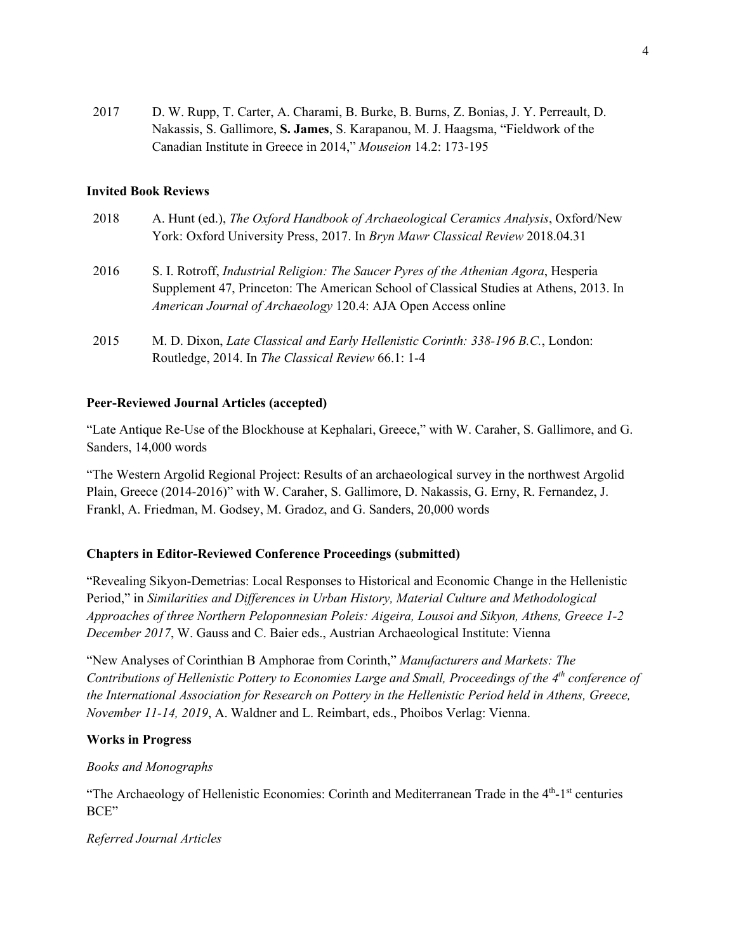2017 D. W. Rupp, T. Carter, A. Charami, B. Burke, B. Burns, Z. Bonias, J. Y. Perreault, D. Nakassis, S. Gallimore, **S. James**, S. Karapanou, M. J. Haagsma, "Fieldwork of the Canadian Institute in Greece in 2014," *Mouseion* 14.2: 173-195

### **Invited Book Reviews**

- 2018 A. Hunt (ed.), *The Oxford Handbook of Archaeological Ceramics Analysis*, Oxford/New York: Oxford University Press, 2017. In *Bryn Mawr Classical Review* 2018.04.31 2016 S. I. Rotroff, *Industrial Religion: The Saucer Pyres of the Athenian Agora*, Hesperia Supplement 47, Princeton: The American School of Classical Studies at Athens, 2013. In *American Journal of Archaeology* 120.4: AJA Open Access online
- 2015 M. D. Dixon, *Late Classical and Early Hellenistic Corinth: 338-196 B.C.*, London: Routledge, 2014. In *The Classical Review* 66.1: 1-4

### **Peer-Reviewed Journal Articles (accepted)**

"Late Antique Re-Use of the Blockhouse at Kephalari, Greece," with W. Caraher, S. Gallimore, and G. Sanders, 14,000 words

"The Western Argolid Regional Project: Results of an archaeological survey in the northwest Argolid Plain, Greece (2014-2016)" with W. Caraher, S. Gallimore, D. Nakassis, G. Erny, R. Fernandez, J. Frankl, A. Friedman, M. Godsey, M. Gradoz, and G. Sanders, 20,000 words

### **Chapters in Editor-Reviewed Conference Proceedings (submitted)**

"Revealing Sikyon-Demetrias: Local Responses to Historical and Economic Change in the Hellenistic Period," in *Similarities and Differences in Urban History, Material Culture and Methodological Approaches of three Northern Peloponnesian Poleis: Aigeira, Lousoi and Sikyon, Athens, Greece 1-2 December 2017*, W. Gauss and C. Baier eds., Austrian Archaeological Institute: Vienna

"New Analyses of Corinthian B Amphorae from Corinth," *Manufacturers and Markets: The Contributions of Hellenistic Pottery to Economies Large and Small, Proceedings of the 4th conference of the International Association for Research on Pottery in the Hellenistic Period held in Athens, Greece, November 11-14, 2019*, A. Waldner and L. Reimbart, eds., Phoibos Verlag: Vienna.

### **Works in Progress**

### *Books and Monographs*

"The Archaeology of Hellenistic Economies: Corinth and Mediterranean Trade in the 4<sup>th</sup>-1<sup>st</sup> centuries BCE"

### *Referred Journal Articles*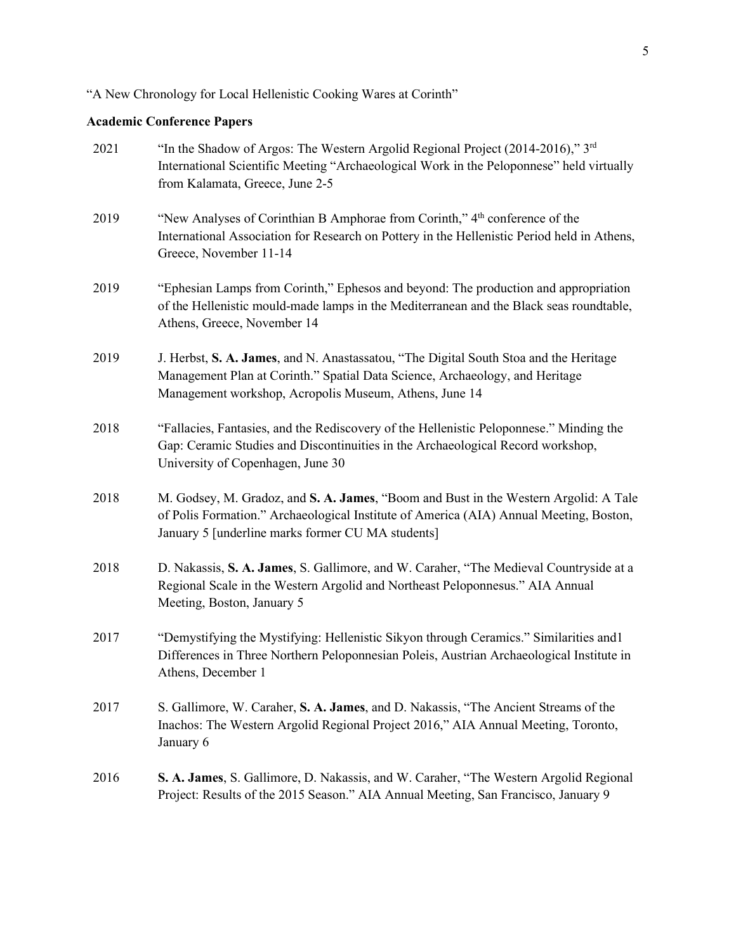"A New Chronology for Local Hellenistic Cooking Wares at Corinth"

# **Academic Conference Papers**

| 2021 | "In the Shadow of Argos: The Western Argolid Regional Project (2014-2016)," $3rd$<br>International Scientific Meeting "Archaeological Work in the Peloponnese" held virtually<br>from Kalamata, Greece, June 2-5                    |
|------|-------------------------------------------------------------------------------------------------------------------------------------------------------------------------------------------------------------------------------------|
| 2019 | "New Analyses of Corinthian B Amphorae from Corinth," 4 <sup>th</sup> conference of the<br>International Association for Research on Pottery in the Hellenistic Period held in Athens,<br>Greece, November 11-14                    |
| 2019 | "Ephesian Lamps from Corinth," Ephesos and beyond: The production and appropriation<br>of the Hellenistic mould-made lamps in the Mediterranean and the Black seas roundtable,<br>Athens, Greece, November 14                       |
| 2019 | J. Herbst, S. A. James, and N. Anastassatou, "The Digital South Stoa and the Heritage<br>Management Plan at Corinth." Spatial Data Science, Archaeology, and Heritage<br>Management workshop, Acropolis Museum, Athens, June 14     |
| 2018 | "Fallacies, Fantasies, and the Rediscovery of the Hellenistic Peloponnese." Minding the<br>Gap: Ceramic Studies and Discontinuities in the Archaeological Record workshop,<br>University of Copenhagen, June 30                     |
| 2018 | M. Godsey, M. Gradoz, and S. A. James, "Boom and Bust in the Western Argolid: A Tale<br>of Polis Formation." Archaeological Institute of America (AIA) Annual Meeting, Boston,<br>January 5 [underline marks former CU MA students] |
| 2018 | D. Nakassis, S. A. James, S. Gallimore, and W. Caraher, "The Medieval Countryside at a<br>Regional Scale in the Western Argolid and Northeast Peloponnesus." AIA Annual<br>Meeting, Boston, January 5                               |
| 2017 | "Demystifying the Mystifying: Hellenistic Sikyon through Ceramics." Similarities and l<br>Differences in Three Northern Peloponnesian Poleis, Austrian Archaeological Institute in<br>Athens, December 1                            |
| 2017 | S. Gallimore, W. Caraher, S. A. James, and D. Nakassis, "The Ancient Streams of the<br>Inachos: The Western Argolid Regional Project 2016," AIA Annual Meeting, Toronto,<br>January 6                                               |
| 2016 | <b>S. A. James, S. Gallimore, D. Nakassis, and W. Caraher, "The Western Argolid Regional</b><br>Project: Results of the 2015 Season." AIA Annual Meeting, San Francisco, January 9                                                  |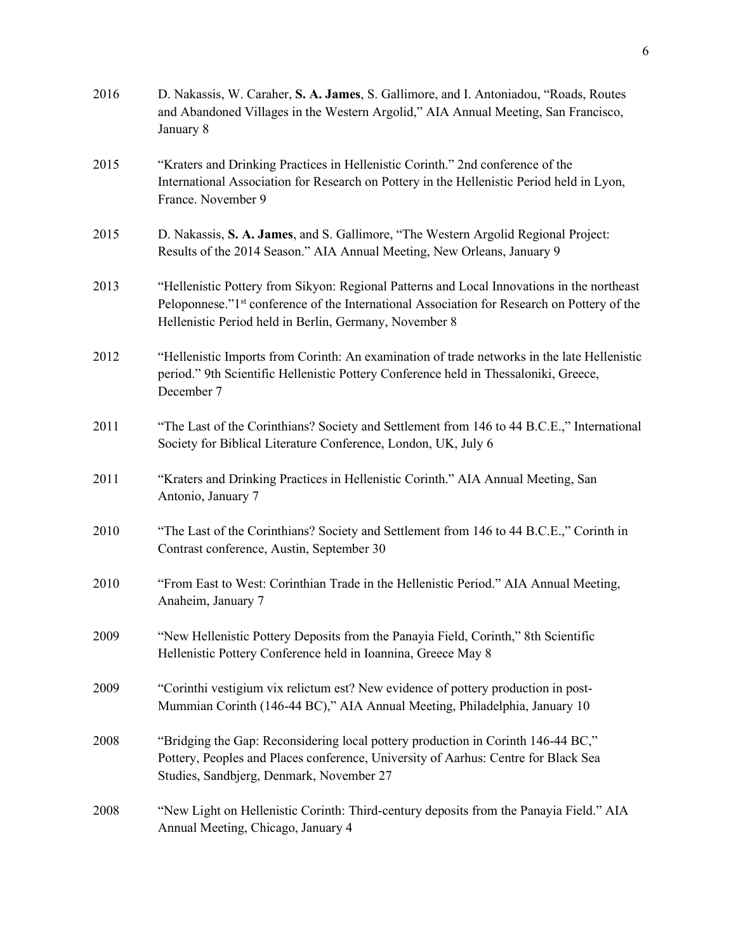| 2016 | D. Nakassis, W. Caraher, S. A. James, S. Gallimore, and I. Antoniadou, "Roads, Routes<br>and Abandoned Villages in the Western Argolid," AIA Annual Meeting, San Francisco,<br>January 8                                                            |
|------|-----------------------------------------------------------------------------------------------------------------------------------------------------------------------------------------------------------------------------------------------------|
| 2015 | "Kraters and Drinking Practices in Hellenistic Corinth." 2nd conference of the<br>International Association for Research on Pottery in the Hellenistic Period held in Lyon,<br>France. November 9                                                   |
| 2015 | D. Nakassis, S. A. James, and S. Gallimore, "The Western Argolid Regional Project:<br>Results of the 2014 Season." AIA Annual Meeting, New Orleans, January 9                                                                                       |
| 2013 | "Hellenistic Pottery from Sikyon: Regional Patterns and Local Innovations in the northeast<br>Peloponnese."1st conference of the International Association for Research on Pottery of the<br>Hellenistic Period held in Berlin, Germany, November 8 |
| 2012 | "Hellenistic Imports from Corinth: An examination of trade networks in the late Hellenistic<br>period." 9th Scientific Hellenistic Pottery Conference held in Thessaloniki, Greece,<br>December 7                                                   |
| 2011 | "The Last of the Corinthians? Society and Settlement from 146 to 44 B.C.E.," International<br>Society for Biblical Literature Conference, London, UK, July 6                                                                                        |
| 2011 | "Kraters and Drinking Practices in Hellenistic Corinth." AIA Annual Meeting, San<br>Antonio, January 7                                                                                                                                              |
| 2010 | "The Last of the Corinthians? Society and Settlement from 146 to 44 B.C.E.," Corinth in<br>Contrast conference, Austin, September 30                                                                                                                |
| 2010 | "From East to West: Corinthian Trade in the Hellenistic Period." AIA Annual Meeting,<br>Anaheim, January 7                                                                                                                                          |
| 2009 | "New Hellenistic Pottery Deposits from the Panayia Field, Corinth," 8th Scientific<br>Hellenistic Pottery Conference held in Ioannina, Greece May 8                                                                                                 |
| 2009 | "Corinthi vestigium vix relictum est? New evidence of pottery production in post-<br>Mummian Corinth (146-44 BC)," AIA Annual Meeting, Philadelphia, January 10                                                                                     |
| 2008 | "Bridging the Gap: Reconsidering local pottery production in Corinth 146-44 BC,"<br>Pottery, Peoples and Places conference, University of Aarhus: Centre for Black Sea<br>Studies, Sandbjerg, Denmark, November 27                                  |
| 2008 | "New Light on Hellenistic Corinth: Third-century deposits from the Panayia Field." AIA<br>Annual Meeting, Chicago, January 4                                                                                                                        |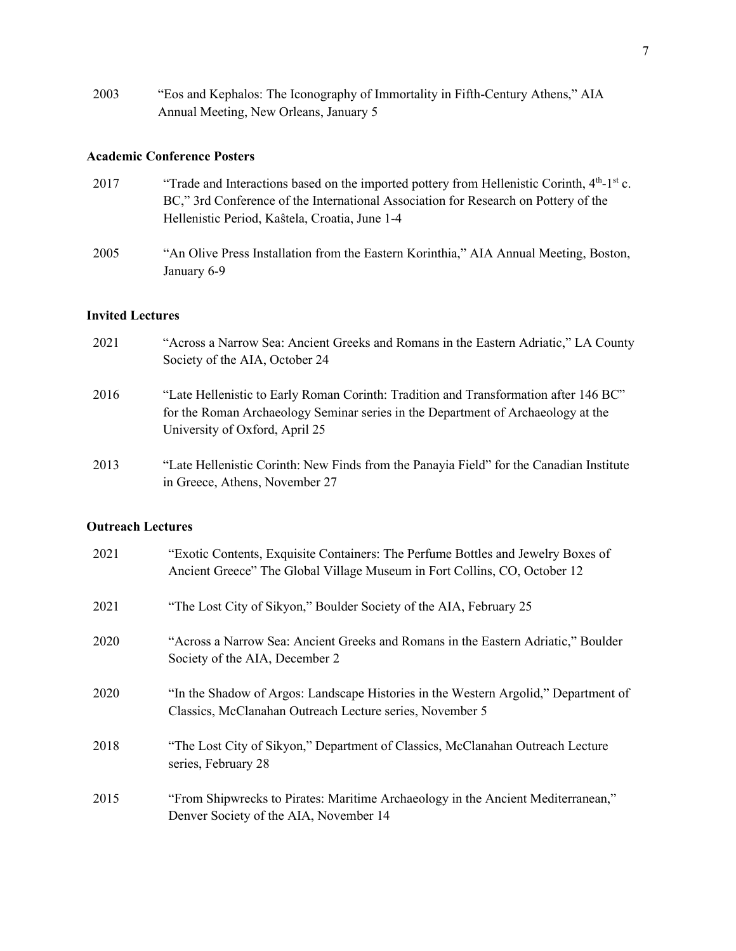2003 "Eos and Kephalos: The Iconography of Immortality in Fifth-Century Athens," AIA Annual Meeting, New Orleans, January 5

### **Academic Conference Posters**

- 2017 "Trade and Interactions based on the imported pottery from Hellenistic Corinth, 4<sup>th</sup>-1<sup>st</sup> c. BC," 3rd Conference of the International Association for Research on Pottery of the Hellenistic Period, Kaŝtela, Croatia, June 1-4
- 2005 "An Olive Press Installation from the Eastern Korinthia," AIA Annual Meeting, Boston, January 6-9

#### **Invited Lectures**

- 2021 "Across a Narrow Sea: Ancient Greeks and Romans in the Eastern Adriatic," LA County Society of the AIA, October 24 2016 "Late Hellenistic to Early Roman Corinth: Tradition and Transformation after 146 BC" for the Roman Archaeology Seminar series in the Department of Archaeology at the University of Oxford, April 25 2013 "Late Hellenistic Corinth: New Finds from the Panayia Field" for the Canadian Institute
- in Greece, Athens, November 27

#### **Outreach Lectures**

| 2021 | "Exotic Contents, Exquisite Containers: The Perfume Bottles and Jewelry Boxes of<br>Ancient Greece" The Global Village Museum in Fort Collins, CO, October 12 |
|------|---------------------------------------------------------------------------------------------------------------------------------------------------------------|
| 2021 | "The Lost City of Sikyon," Boulder Society of the AIA, February 25                                                                                            |
| 2020 | "Across a Narrow Sea: Ancient Greeks and Romans in the Eastern Adriatic," Boulder<br>Society of the AIA, December 2                                           |
| 2020 | "In the Shadow of Argos: Landscape Histories in the Western Argolid," Department of<br>Classics, McClanahan Outreach Lecture series, November 5               |
| 2018 | "The Lost City of Sikyon," Department of Classics, McClanahan Outreach Lecture<br>series, February 28                                                         |
| 2015 | "From Shipwrecks to Pirates: Maritime Archaeology in the Ancient Mediterranean,"<br>Denver Society of the AIA, November 14                                    |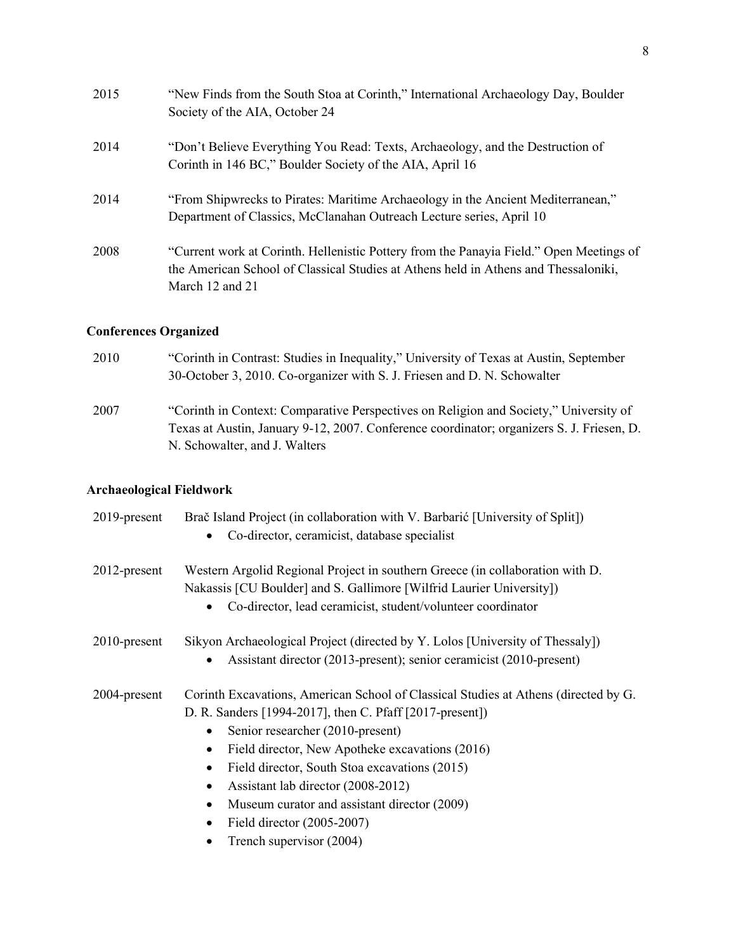| 2015 | "New Finds from the South Stoa at Corinth," International Archaeology Day, Boulder<br>Society of the AIA, October 24                                                                                  |
|------|-------------------------------------------------------------------------------------------------------------------------------------------------------------------------------------------------------|
| 2014 | "Don't Believe Everything You Read: Texts, Archaeology, and the Destruction of<br>Corinth in 146 BC," Boulder Society of the AIA, April 16                                                            |
| 2014 | "From Shipwrecks to Pirates: Maritime Archaeology in the Ancient Mediterranean,"<br>Department of Classics, McClanahan Outreach Lecture series, April 10                                              |
| 2008 | "Current work at Corinth. Hellenistic Pottery from the Panayia Field." Open Meetings of<br>the American School of Classical Studies at Athens held in Athens and Thessaloniki,<br>March $12$ and $21$ |
|      |                                                                                                                                                                                                       |

# **Conferences Organized**

| 2010 | "Corinth in Contrast: Studies in Inequality," University of Texas at Austin, September<br>30-October 3, 2010. Co-organizer with S. J. Friesen and D. N. Schowalter                                                  |
|------|---------------------------------------------------------------------------------------------------------------------------------------------------------------------------------------------------------------------|
| 2007 | "Corinth in Context: Comparative Perspectives on Religion and Society," University of<br>Texas at Austin, January 9-12, 2007. Conference coordinator; organizers S. J. Friesen, D.<br>N. Schowalter, and J. Walters |

# **Archaeological Fieldwork**

| 2019-present    | Brač Island Project (in collaboration with V. Barbarić [University of Split])<br>Co-director, ceramicist, database specialist                                                                                                                                                                                                                                                                                                                                                                         |
|-----------------|-------------------------------------------------------------------------------------------------------------------------------------------------------------------------------------------------------------------------------------------------------------------------------------------------------------------------------------------------------------------------------------------------------------------------------------------------------------------------------------------------------|
| $2012$ -present | Western Argolid Regional Project in southern Greece (in collaboration with D.<br>Nakassis [CU Boulder] and S. Gallimore [Wilfrid Laurier University])<br>Co-director, lead ceramicist, student/volunteer coordinator                                                                                                                                                                                                                                                                                  |
| 2010-present    | Sikyon Archaeological Project (directed by Y. Lolos [University of Thessaly])<br>Assistant director (2013-present); senior ceramicist (2010-present)                                                                                                                                                                                                                                                                                                                                                  |
| 2004-present    | Corinth Excavations, American School of Classical Studies at Athens (directed by G.<br>D. R. Sanders [1994-2017], then C. Pfaff [2017-present])<br>Senior researcher (2010-present)<br>$\bullet$<br>Field director, New Apotheke excavations (2016)<br>٠<br>Field director, South Stoa excavations (2015)<br>$\bullet$<br>Assistant lab director (2008-2012)<br>٠<br>Museum curator and assistant director (2009)<br>$\bullet$<br>Field director (2005-2007)<br>$\bullet$<br>Trench supervisor (2004) |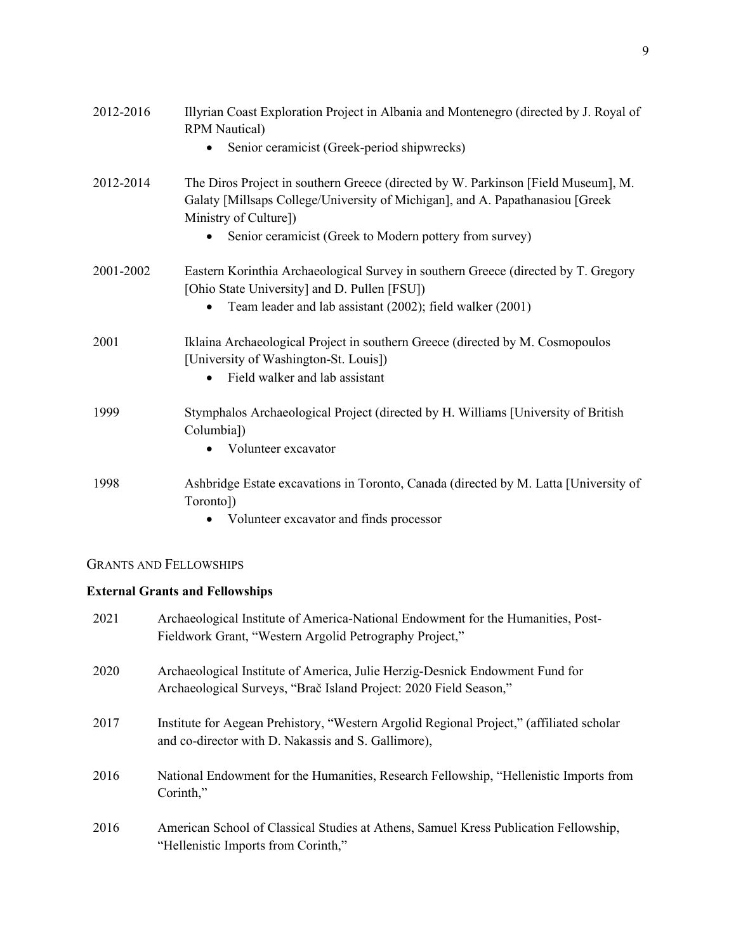| 2012-2016 | Illyrian Coast Exploration Project in Albania and Montenegro (directed by J. Royal of<br><b>RPM</b> Nautical)                                                                                                                                           |
|-----------|---------------------------------------------------------------------------------------------------------------------------------------------------------------------------------------------------------------------------------------------------------|
|           | Senior ceramicist (Greek-period shipwrecks)                                                                                                                                                                                                             |
| 2012-2014 | The Diros Project in southern Greece (directed by W. Parkinson [Field Museum], M.<br>Galaty [Millsaps College/University of Michigan], and A. Papathanasiou [Greek]<br>Ministry of Culture])<br>Senior ceramicist (Greek to Modern pottery from survey) |
| 2001-2002 | Eastern Korinthia Archaeological Survey in southern Greece (directed by T. Gregory<br>[Ohio State University] and D. Pullen [FSU])<br>Team leader and lab assistant (2002); field walker (2001)                                                         |
| 2001      | Iklaina Archaeological Project in southern Greece (directed by M. Cosmopoulos<br>[University of Washington-St. Louis])<br>Field walker and lab assistant                                                                                                |
| 1999      | Stymphalos Archaeological Project (directed by H. Williams [University of British<br>Columbia])<br>Volunteer excavator                                                                                                                                  |
| 1998      | Ashbridge Estate excavations in Toronto, Canada (directed by M. Latta [University of<br>Toronto])<br>Volunteer excavator and finds processor                                                                                                            |

# GRANTS AND FELLOWSHIPS

# **External Grants and Fellowships**

| 2021 | Archaeological Institute of America-National Endowment for the Humanities, Post-<br>Fieldwork Grant, "Western Argolid Petrography Project,"       |
|------|---------------------------------------------------------------------------------------------------------------------------------------------------|
| 2020 | Archaeological Institute of America, Julie Herzig-Desnick Endowment Fund for<br>Archaeological Surveys, "Brač Island Project: 2020 Field Season," |
| 2017 | Institute for Aegean Prehistory, "Western Argolid Regional Project," (affiliated scholar<br>and co-director with D. Nakassis and S. Gallimore),   |
| 2016 | National Endowment for the Humanities, Research Fellowship, "Hellenistic Imports from<br>Corinth,"                                                |
| 2016 | American School of Classical Studies at Athens, Samuel Kress Publication Fellowship,<br>"Hellenistic Imports from Corinth,"                       |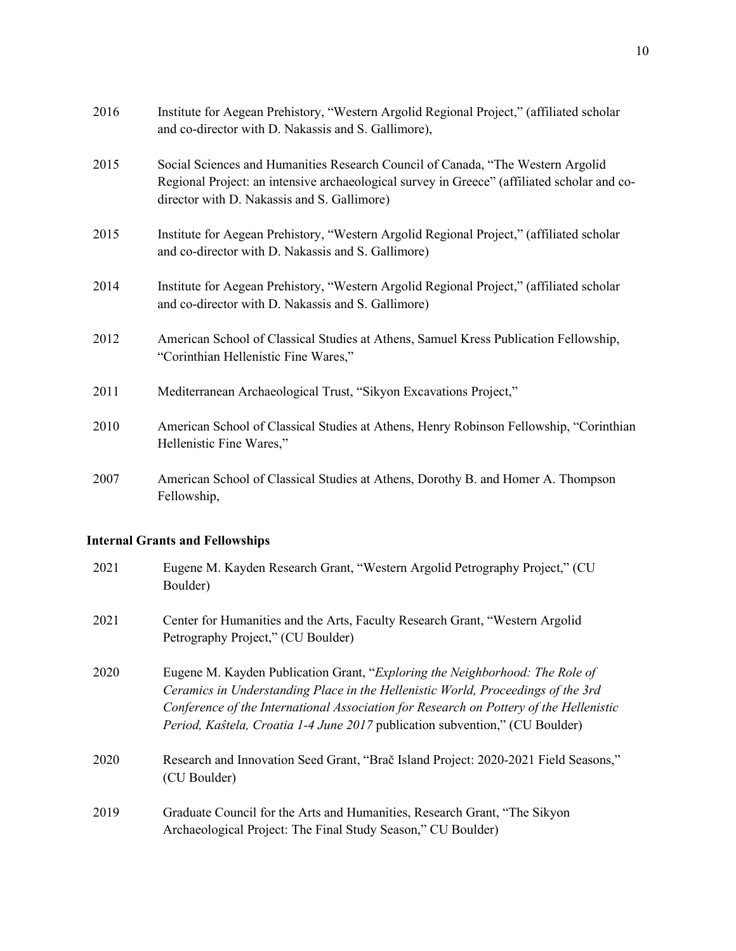| 2016 | Institute for Aegean Prehistory, "Western Argolid Regional Project," (affiliated scholar<br>and co-director with D. Nakassis and S. Gallimore),                                                                               |
|------|-------------------------------------------------------------------------------------------------------------------------------------------------------------------------------------------------------------------------------|
| 2015 | Social Sciences and Humanities Research Council of Canada, "The Western Argolid<br>Regional Project: an intensive archaeological survey in Greece" (affiliated scholar and co-<br>director with D. Nakassis and S. Gallimore) |
| 2015 | Institute for Aegean Prehistory, "Western Argolid Regional Project," (affiliated scholar<br>and co-director with D. Nakassis and S. Gallimore)                                                                                |
| 2014 | Institute for Aegean Prehistory, "Western Argolid Regional Project," (affiliated scholar<br>and co-director with D. Nakassis and S. Gallimore)                                                                                |
| 2012 | American School of Classical Studies at Athens, Samuel Kress Publication Fellowship,<br>"Corinthian Hellenistic Fine Wares,"                                                                                                  |
| 2011 | Mediterranean Archaeological Trust, "Sikyon Excavations Project,"                                                                                                                                                             |
| 2010 | American School of Classical Studies at Athens, Henry Robinson Fellowship, "Corinthian<br>Hellenistic Fine Wares,"                                                                                                            |
| 2007 | American School of Classical Studies at Athens, Dorothy B. and Homer A. Thompson                                                                                                                                              |

# **Internal Grants and Fellowships**

Fellowship,

| 2021 | Eugene M. Kayden Research Grant, "Western Argolid Petrography Project," (CU)<br>Boulder)                                                                                                                                                                                                                                                          |
|------|---------------------------------------------------------------------------------------------------------------------------------------------------------------------------------------------------------------------------------------------------------------------------------------------------------------------------------------------------|
| 2021 | Center for Humanities and the Arts, Faculty Research Grant, "Western Argolid"<br>Petrography Project," (CU Boulder)                                                                                                                                                                                                                               |
| 2020 | Eugene M. Kayden Publication Grant, "Exploring the Neighborhood: The Role of<br>Ceramics in Understanding Place in the Hellenistic World, Proceedings of the 3rd<br>Conference of the International Association for Research on Pottery of the Hellenistic<br><i>Period, Kaŝtela, Croatia 1-4 June 2017</i> publication subvention," (CU Boulder) |
| 2020 | Research and Innovation Seed Grant, "Brač Island Project: 2020-2021 Field Seasons,"<br>(CU Boulder)                                                                                                                                                                                                                                               |
| 2019 | Graduate Council for the Arts and Humanities, Research Grant, "The Sikyon<br>Archaeological Project: The Final Study Season," CU Boulder)                                                                                                                                                                                                         |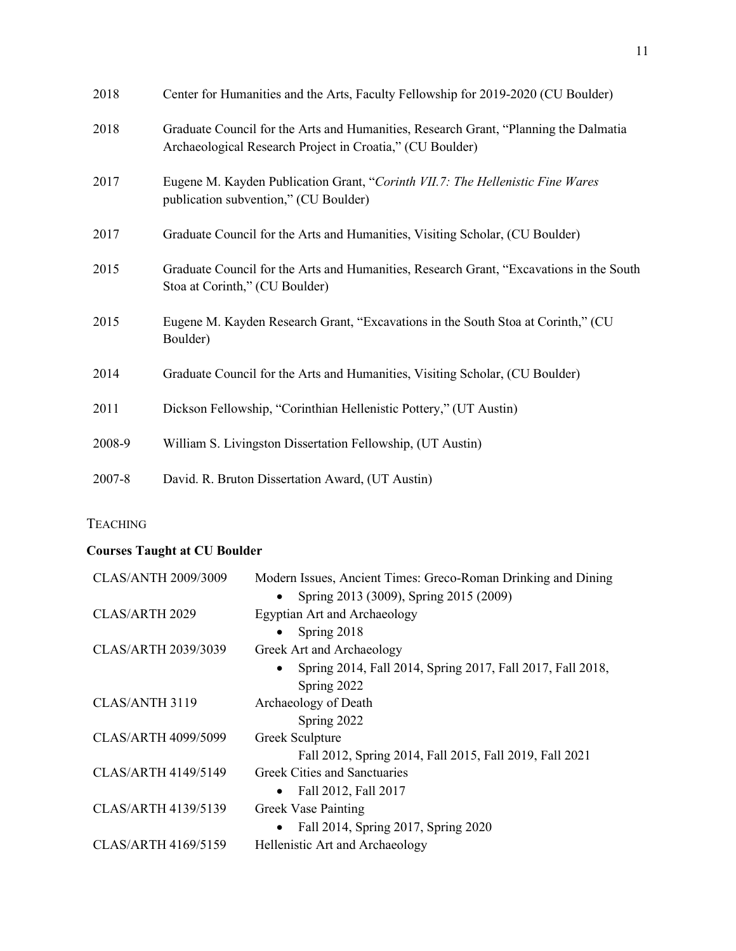| 2018   | Center for Humanities and the Arts, Faculty Fellowship for 2019-2020 (CU Boulder)                                                                  |
|--------|----------------------------------------------------------------------------------------------------------------------------------------------------|
| 2018   | Graduate Council for the Arts and Humanities, Research Grant, "Planning the Dalmatia"<br>Archaeological Research Project in Croatia," (CU Boulder) |
| 2017   | Eugene M. Kayden Publication Grant, "Corinth VII.7: The Hellenistic Fine Wares<br>publication subvention," (CU Boulder)                            |
| 2017   | Graduate Council for the Arts and Humanities, Visiting Scholar, (CU Boulder)                                                                       |
| 2015   | Graduate Council for the Arts and Humanities, Research Grant, "Excavations in the South<br>Stoa at Corinth," (CU Boulder)                          |
| 2015   | Eugene M. Kayden Research Grant, "Excavations in the South Stoa at Corinth," (CU<br>Boulder)                                                       |
| 2014   | Graduate Council for the Arts and Humanities, Visiting Scholar, (CU Boulder)                                                                       |
| 2011   | Dickson Fellowship, "Corinthian Hellenistic Pottery," (UT Austin)                                                                                  |
| 2008-9 | William S. Livingston Dissertation Fellowship, (UT Austin)                                                                                         |
| 2007-8 | David. R. Bruton Dissertation Award, (UT Austin)                                                                                                   |

# **TEACHING**

# **Courses Taught at CU Boulder**

| <b>CLAS/ANTH 2009/3009</b> | Modern Issues, Ancient Times: Greco-Roman Drinking and Dining |
|----------------------------|---------------------------------------------------------------|
|                            | Spring 2013 (3009), Spring 2015 (2009)                        |
| CLAS/ARTH 2029             | <b>Egyptian Art and Archaeology</b>                           |
|                            | Spring 2018                                                   |
| <b>CLAS/ARTH 2039/3039</b> | Greek Art and Archaeology                                     |
|                            | Spring 2014, Fall 2014, Spring 2017, Fall 2017, Fall 2018,    |
|                            | Spring 2022                                                   |
| CLAS/ANTH 3119             | Archaeology of Death                                          |
|                            | Spring 2022                                                   |
| <b>CLAS/ARTH 4099/5099</b> | Greek Sculpture                                               |
|                            | Fall 2012, Spring 2014, Fall 2015, Fall 2019, Fall 2021       |
| CLAS/ARTH 4149/5149        | <b>Greek Cities and Sanctuaries</b>                           |
|                            | Fall 2012, Fall 2017                                          |
| <b>CLAS/ARTH 4139/5139</b> | <b>Greek Vase Painting</b>                                    |
|                            | Fall 2014, Spring 2017, Spring 2020                           |
| CLAS/ARTH 4169/5159        | Hellenistic Art and Archaeology                               |
|                            |                                                               |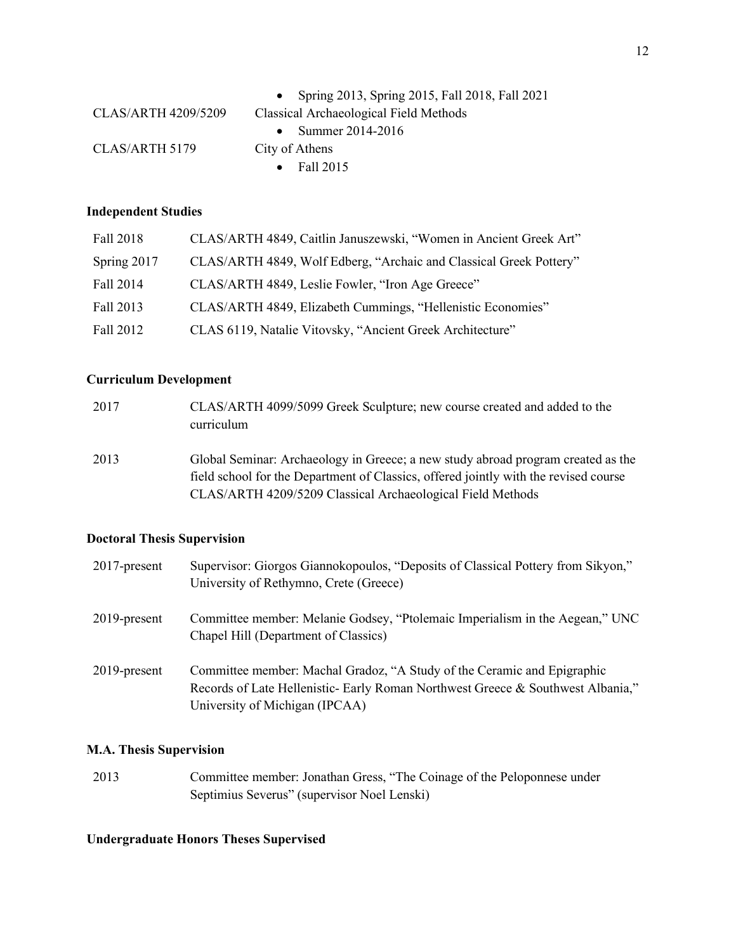|                            | Spring 2013, Spring 2015, Fall 2018, Fall 2021 |
|----------------------------|------------------------------------------------|
| <b>CLAS/ARTH 4209/5209</b> | Classical Archaeological Field Methods         |
|                            | Summer 2014-2016                               |
| CLAS/ARTH 5179             | City of Athens                                 |
|                            | Fall 2015<br>$\bullet$                         |
|                            |                                                |

## **Independent Studies**

| Fall 2018   | CLAS/ARTH 4849, Caitlin Januszewski, "Women in Ancient Greek Art"  |
|-------------|--------------------------------------------------------------------|
| Spring 2017 | CLAS/ARTH 4849, Wolf Edberg, "Archaic and Classical Greek Pottery" |
| Fall 2014   | CLAS/ARTH 4849, Leslie Fowler, "Iron Age Greece"                   |
| Fall 2013   | CLAS/ARTH 4849, Elizabeth Cummings, "Hellenistic Economies"        |
| Fall 2012   | CLAS 6119, Natalie Vitovsky, "Ancient Greek Architecture"          |

# **Curriculum Development**

| 2017 | CLAS/ARTH 4099/5099 Greek Sculpture; new course created and added to the<br>curriculum                                                                                                                                                 |
|------|----------------------------------------------------------------------------------------------------------------------------------------------------------------------------------------------------------------------------------------|
| 2013 | Global Seminar: Archaeology in Greece; a new study abroad program created as the<br>field school for the Department of Classics, offered jointly with the revised course<br>CLAS/ARTH 4209/5209 Classical Archaeological Field Methods |

# **Doctoral Thesis Supervision**

| $2017$ -present | Supervisor: Giorgos Giannokopoulos, "Deposits of Classical Pottery from Sikyon,"<br>University of Rethymno, Crete (Greece)                                                                   |
|-----------------|----------------------------------------------------------------------------------------------------------------------------------------------------------------------------------------------|
| $2019$ -present | Committee member: Melanie Godsey, "Ptolemaic Imperialism in the Aegean," UNC<br>Chapel Hill (Department of Classics)                                                                         |
| $2019$ -present | Committee member: Machal Gradoz, "A Study of the Ceramic and Epigraphic<br>Records of Late Hellenistic- Early Roman Northwest Greece & Southwest Albania,"<br>University of Michigan (IPCAA) |

# **M.A. Thesis Supervision**

2013 Committee member: Jonathan Gress, "The Coinage of the Peloponnese under Septimius Severus" (supervisor Noel Lenski)

## **Undergraduate Honors Theses Supervised**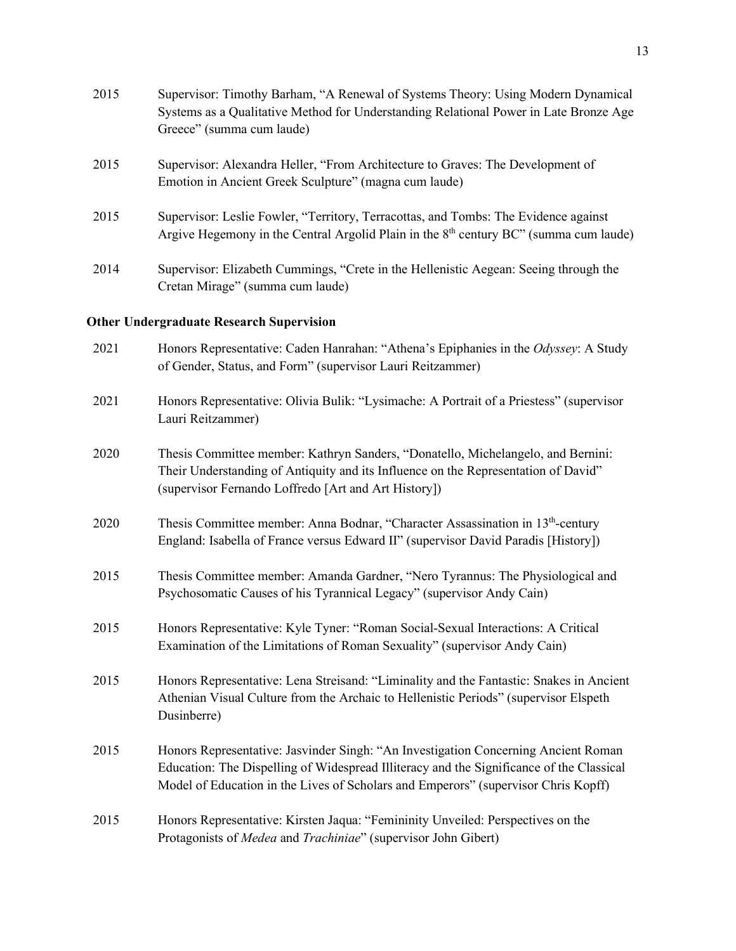| 2015 | Supervisor: Timothy Barham, "A Renewal of Systems Theory: Using Modern Dynamical<br>Systems as a Qualitative Method for Understanding Relational Power in Late Bronze Age<br>Greece" (summa cum laude) |
|------|--------------------------------------------------------------------------------------------------------------------------------------------------------------------------------------------------------|
| 2015 | Supervisor: Alexandra Heller, "From Architecture to Graves: The Development of<br>Emotion in Ancient Greek Sculpture" (magna cum laude)                                                                |
| 2015 | Supervisor: Leslie Fowler, "Territory, Terracottas, and Tombs: The Evidence against<br>Argive Hegemony in the Central Argolid Plain in the $8th$ century BC" (summa cum laude)                         |
| 2014 | Supervisor: Elizabeth Cummings, "Crete in the Hellenistic Aegean: Seeing through the<br>Cretan Mirage" (summa cum laude)                                                                               |

# **Other Undergraduate Research Supervision**

| 2021 | Honors Representative: Caden Hanrahan: "Athena's Epiphanies in the Odyssey: A Study<br>of Gender, Status, and Form" (supervisor Lauri Reitzammer)                                                                                                                    |
|------|----------------------------------------------------------------------------------------------------------------------------------------------------------------------------------------------------------------------------------------------------------------------|
| 2021 | Honors Representative: Olivia Bulik: "Lysimache: A Portrait of a Priestess" (supervisor<br>Lauri Reitzammer)                                                                                                                                                         |
| 2020 | Thesis Committee member: Kathryn Sanders, "Donatello, Michelangelo, and Bernini:<br>Their Understanding of Antiquity and its Influence on the Representation of David"<br>(supervisor Fernando Loffredo [Art and Art History])                                       |
| 2020 | Thesis Committee member: Anna Bodnar, "Character Assassination in 13 <sup>th</sup> -century<br>England: Isabella of France versus Edward II" (supervisor David Paradis [History])                                                                                    |
| 2015 | Thesis Committee member: Amanda Gardner, "Nero Tyrannus: The Physiological and<br>Psychosomatic Causes of his Tyrannical Legacy" (supervisor Andy Cain)                                                                                                              |
| 2015 | Honors Representative: Kyle Tyner: "Roman Social-Sexual Interactions: A Critical<br>Examination of the Limitations of Roman Sexuality" (supervisor Andy Cain)                                                                                                        |
| 2015 | Honors Representative: Lena Streisand: "Liminality and the Fantastic: Snakes in Ancient<br>Athenian Visual Culture from the Archaic to Hellenistic Periods" (supervisor Elspeth<br>Dusinberre)                                                                       |
| 2015 | Honors Representative: Jasvinder Singh: "An Investigation Concerning Ancient Roman<br>Education: The Dispelling of Widespread Illiteracy and the Significance of the Classical<br>Model of Education in the Lives of Scholars and Emperors" (supervisor Chris Kopff) |
| 2015 | Honors Representative: Kirsten Jaqua: "Femininity Unveiled: Perspectives on the<br>Protagonists of Medea and Trachiniae" (supervisor John Gibert)                                                                                                                    |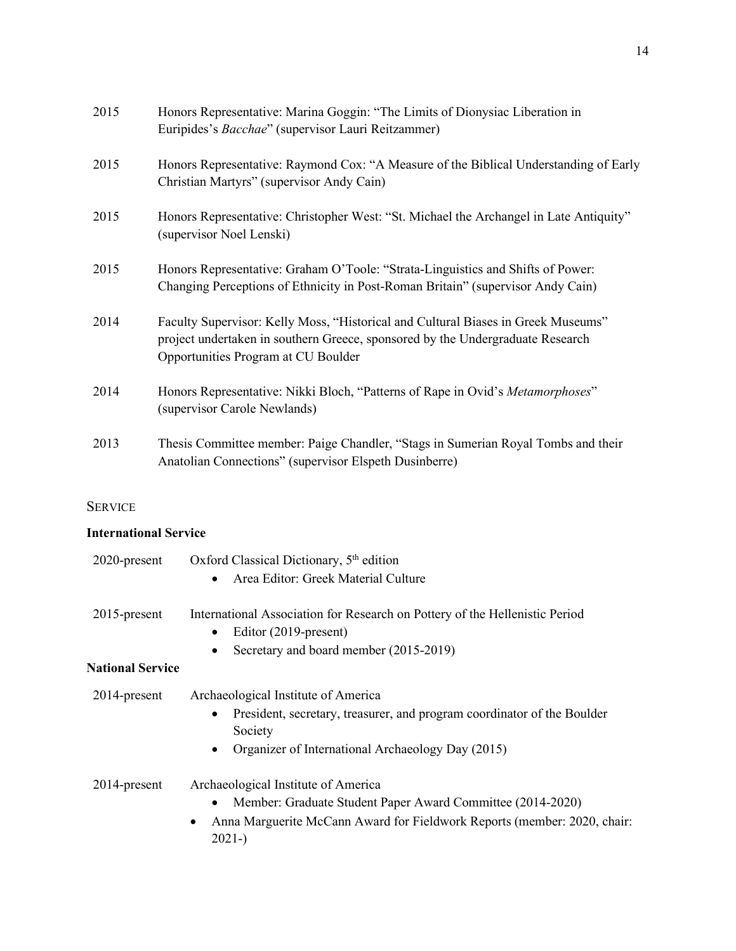| 2015 | Honors Representative: Marina Goggin: "The Limits of Dionysiac Liberation in<br>Euripides's Bacchae" (supervisor Lauri Reitzammer)                                                                         |
|------|------------------------------------------------------------------------------------------------------------------------------------------------------------------------------------------------------------|
| 2015 | Honors Representative: Raymond Cox: "A Measure of the Biblical Understanding of Early<br>Christian Martyrs" (supervisor Andy Cain)                                                                         |
| 2015 | Honors Representative: Christopher West: "St. Michael the Archangel in Late Antiquity"<br>(supervisor Noel Lenski)                                                                                         |
| 2015 | Honors Representative: Graham O'Toole: "Strata-Linguistics and Shifts of Power:<br>Changing Perceptions of Ethnicity in Post-Roman Britain" (supervisor Andy Cain)                                         |
| 2014 | Faculty Supervisor: Kelly Moss, "Historical and Cultural Biases in Greek Museums"<br>project undertaken in southern Greece, sponsored by the Undergraduate Research<br>Opportunities Program at CU Boulder |
| 2014 | Honors Representative: Nikki Bloch, "Patterns of Rape in Ovid's Metamorphoses"<br>(supervisor Carole Newlands)                                                                                             |
| 2013 | Thesis Committee member: Paige Chandler, "Stags in Sumerian Royal Tombs and their<br>Anatolian Connections" (supervisor Elspeth Dusinberre)                                                                |

# SERVICE

# **International Service**

| 2020-present            | Oxford Classical Dictionary, 5 <sup>th</sup> edition                                            |
|-------------------------|-------------------------------------------------------------------------------------------------|
|                         | Area Editor: Greek Material Culture<br>$\bullet$                                                |
| $2015$ -present         | International Association for Research on Pottery of the Hellenistic Period                     |
|                         | Editor (2019-present)<br>$\bullet$                                                              |
|                         | Secretary and board member (2015-2019)<br>$\bullet$                                             |
| <b>National Service</b> |                                                                                                 |
| 2014-present            | Archaeological Institute of America                                                             |
|                         | President, secretary, treasurer, and program coordinator of the Boulder<br>$\bullet$<br>Society |
|                         | Organizer of International Archaeology Day (2015)<br>$\bullet$                                  |
| 2014-present            | Archaeological Institute of America                                                             |
|                         | Member: Graduate Student Paper Award Committee (2014-2020)<br>$\bullet$                         |
|                         | Anna Marguerite McCann Award for Fieldwork Reports (member: 2020, chair:<br>٠<br>$2021 - )$     |
|                         |                                                                                                 |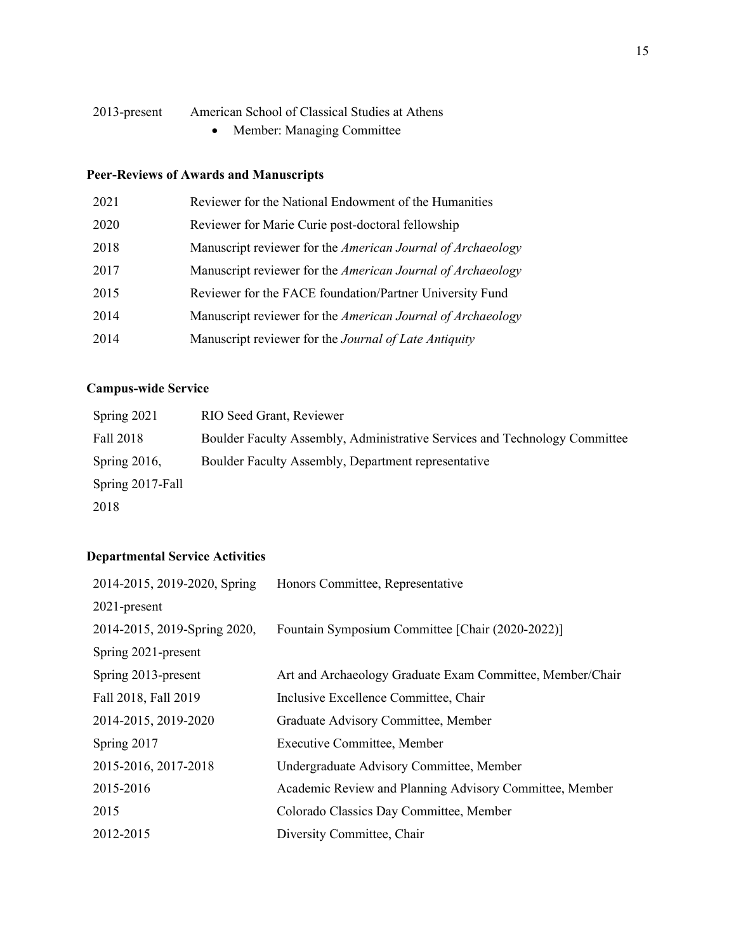## 2013-present American School of Classical Studies at Athens

• Member: Managing Committee

# **Peer-Reviews of Awards and Manuscripts**

| 2021 | Reviewer for the National Endowment of the Humanities       |
|------|-------------------------------------------------------------|
| 2020 | Reviewer for Marie Curie post-doctoral fellowship           |
| 2018 | Manuscript reviewer for the American Journal of Archaeology |
| 2017 | Manuscript reviewer for the American Journal of Archaeology |
| 2015 | Reviewer for the FACE foundation/Partner University Fund    |
| 2014 | Manuscript reviewer for the American Journal of Archaeology |
| 2014 | Manuscript reviewer for the Journal of Late Antiquity       |

# **Campus-wide Service**

| Spring 2021      | RIO Seed Grant, Reviewer                                                   |
|------------------|----------------------------------------------------------------------------|
| Fall 2018        | Boulder Faculty Assembly, Administrative Services and Technology Committee |
| Spring $2016$ ,  | Boulder Faculty Assembly, Department representative                        |
| Spring 2017-Fall |                                                                            |
| 2018             |                                                                            |

# **Departmental Service Activities**

| 2014-2015, 2019-2020, Spring | Honors Committee, Representative                          |
|------------------------------|-----------------------------------------------------------|
| $2021$ -present              |                                                           |
| 2014-2015, 2019-Spring 2020, | Fountain Symposium Committee [Chair (2020-2022)]          |
| Spring 2021-present          |                                                           |
| Spring 2013-present          | Art and Archaeology Graduate Exam Committee, Member/Chair |
| Fall 2018, Fall 2019         | Inclusive Excellence Committee, Chair                     |
| 2014-2015, 2019-2020         | Graduate Advisory Committee, Member                       |
| Spring 2017                  | <b>Executive Committee, Member</b>                        |
| 2015-2016, 2017-2018         | Undergraduate Advisory Committee, Member                  |
| 2015-2016                    | Academic Review and Planning Advisory Committee, Member   |
| 2015                         | Colorado Classics Day Committee, Member                   |
| 2012-2015                    | Diversity Committee, Chair                                |